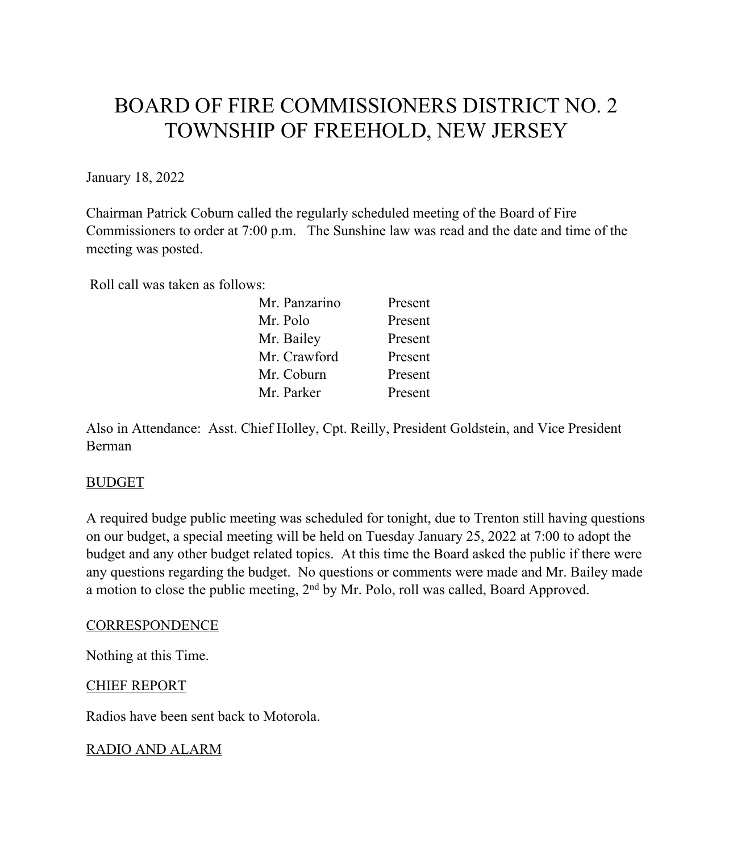# BOARD OF FIRE COMMISSIONERS DISTRICT NO. 2 TOWNSHIP OF FREEHOLD, NEW JERSEY

January 18, 2022

Chairman Patrick Coburn called the regularly scheduled meeting of the Board of Fire Commissioners to order at 7:00 p.m. The Sunshine law was read and the date and time of the meeting was posted.

Roll call was taken as follows:

| Mr. Panzarino | Present |
|---------------|---------|
| Mr. Polo      | Present |
| Mr. Bailey    | Present |
| Mr. Crawford  | Present |
| Mr. Coburn    | Present |
| Mr. Parker    | Present |

Also in Attendance: Asst. Chief Holley, Cpt. Reilly, President Goldstein, and Vice President Berman

#### BUDGET

A required budge public meeting was scheduled for tonight, due to Trenton still having questions on our budget, a special meeting will be held on Tuesday January 25, 2022 at 7:00 to adopt the budget and any other budget related topics. At this time the Board asked the public if there were any questions regarding the budget. No questions or comments were made and Mr. Bailey made a motion to close the public meeting, 2<sup>nd</sup> by Mr. Polo, roll was called, Board Approved.

#### **CORRESPONDENCE**

Nothing at this Time.

## CHIEF REPORT

Radios have been sent back to Motorola.

## RADIO AND ALARM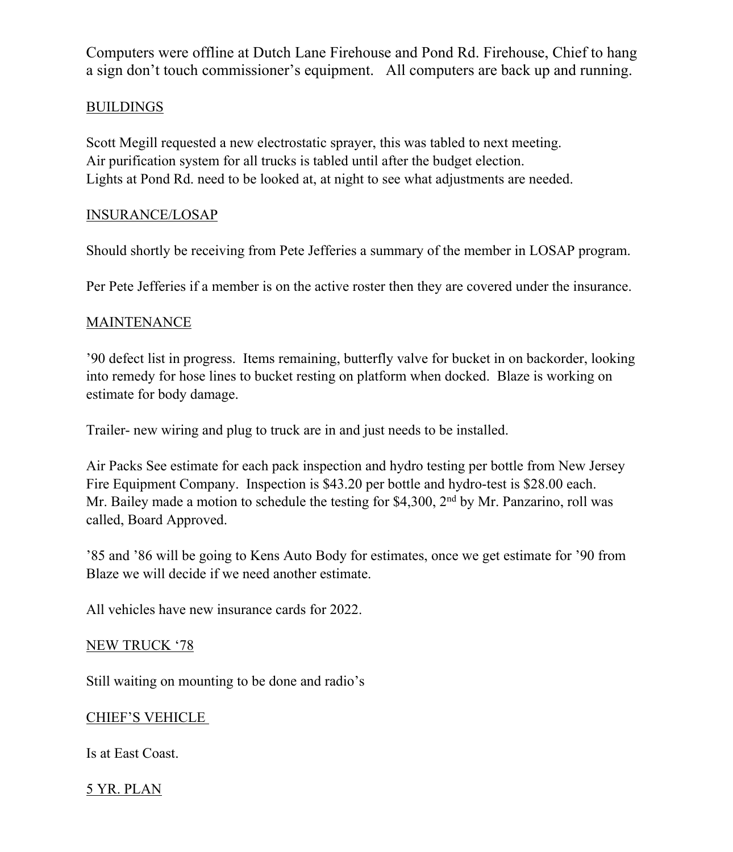Computers were offline at Dutch Lane Firehouse and Pond Rd. Firehouse, Chief to hang a sign don't touch commissioner's equipment. All computers are back up and running.

## BUILDINGS

Scott Megill requested a new electrostatic sprayer, this was tabled to next meeting. Air purification system for all trucks is tabled until after the budget election. Lights at Pond Rd. need to be looked at, at night to see what adjustments are needed.

#### INSURANCE/LOSAP

Should shortly be receiving from Pete Jefferies a summary of the member in LOSAP program.

Per Pete Jefferies if a member is on the active roster then they are covered under the insurance.

## MAINTENANCE

'90 defect list in progress. Items remaining, butterfly valve for bucket in on backorder, looking into remedy for hose lines to bucket resting on platform when docked. Blaze is working on estimate for body damage.

Trailer- new wiring and plug to truck are in and just needs to be installed.

Air Packs See estimate for each pack inspection and hydro testing per bottle from New Jersey Fire Equipment Company. Inspection is \$43.20 per bottle and hydro-test is \$28.00 each. Mr. Bailey made a motion to schedule the testing for \$4,300,  $2<sup>nd</sup>$  by Mr. Panzarino, roll was called, Board Approved.

'85 and '86 will be going to Kens Auto Body for estimates, once we get estimate for '90 from Blaze we will decide if we need another estimate.

All vehicles have new insurance cards for 2022.

#### NEW TRUCK '78

Still waiting on mounting to be done and radio's

## CHIEF'S VEHICLE

Is at East Coast.

## 5 YR. PLAN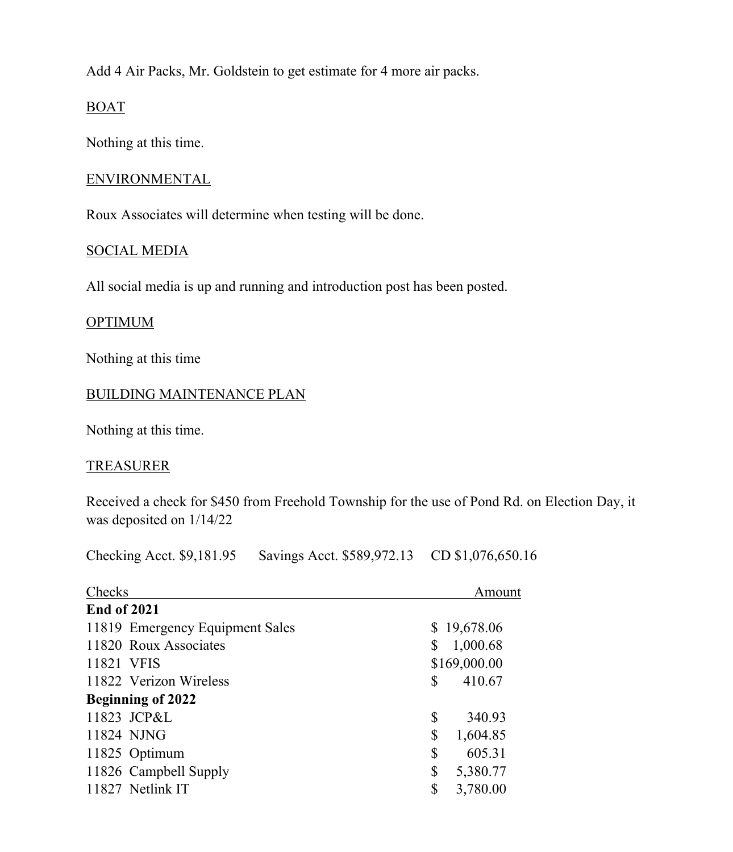Add 4 Air Packs, Mr. Goldstein to get estimate for 4 more air packs.

## BOAT

Nothing at this time.

#### ENVIRONMENTAL

Roux Associates will determine when testing will be done.

#### SOCIAL MEDIA

All social media is up and running and introduction post has been posted.

## **OPTIMUM**

Nothing at this time

## BUILDING MAINTENANCE PLAN

Nothing at this time.

## TREASURER

Received a check for \$450 from Freehold Township for the use of Pond Rd. on Election Day, it was deposited on 1/14/22

Checking Acct. \$9,181.95 Savings Acct. \$589,972.13 CD \$1,076,650.16

| Checks                          | Amount         |
|---------------------------------|----------------|
| <b>End of 2021</b>              |                |
| 11819 Emergency Equipment Sales | \$19,678.06    |
| 11820 Roux Associates           | 1,000.68       |
| 11821 VFIS                      | \$169,000.00   |
| 11822 Verizon Wireless          | 410.67<br>S    |
| <b>Beginning of 2022</b>        |                |
| 11823 JCP&L                     | \$<br>340.93   |
| 11824 NJNG                      | \$<br>1,604.85 |
| 11825 Optimum                   | \$<br>605.31   |
| 11826 Campbell Supply           | 5,380.77<br>\$ |
| 11827 Netlink IT                | 3,780.00<br>\$ |